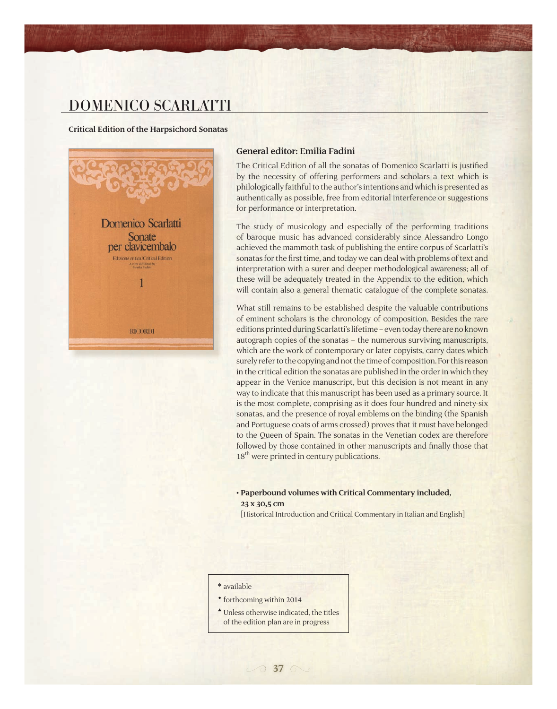## domenico scarlatti

#### **Critical Edition of the Harpsichord Sonatas**



#### **General editor: Emilia Fadini**

The Critical Edition of all the sonatas of Domenico Scarlatti is justified by the necessity of offering performers and scholars a text which is philologically faithful to the author's intentions and which is presented as authentically as possible, free from editorial interference or suggestions for performance or interpretation.

The study of musicology and especially of the performing traditions of baroque music has advanced considerably since Alessandro Longo achieved the mammoth task of publishing the entire corpus of Scarlatti's sonatas for the first time, and today we can deal with problems of text and interpretation with a surer and deeper methodological awareness; all of these will be adequately treated in the Appendix to the edition, which will contain also a general thematic catalogue of the complete sonatas.

What still remains to be established despite the valuable contributions of eminent scholars is the chronology of composition. Besides the rare editions printed during Scarlatti's lifetime – even today there are no known autograph copies of the sonatas – the numerous surviving manuscripts, which are the work of contemporary or later copyists, carry dates which surely refer to the copying and not the time of composition. For this reason in the critical edition the sonatas are published in the order in which they appear in the Venice manuscript, but this decision is not meant in any way to indicate that this manuscript has been used as a primary source. It is the most complete, comprising as it does four hundred and ninety-six sonatas, and the presence of royal emblems on the binding (the Spanish and Portuguese coats of arms crossed) proves that it must have belonged to the Queen of Spain. The sonatas in the Venetian codex are therefore followed by those contained in other manuscripts and finally those that 18<sup>th</sup> were printed in century publications.

#### **• Paperbound volumes with Critical Commentary included, 23 x 30,5 cm**

[Historical Introduction and Critical Commentary in Italian and English]

#### available

- forthcoming within 2014
- Unless otherwise indicated, the titles of the edition plan are in progress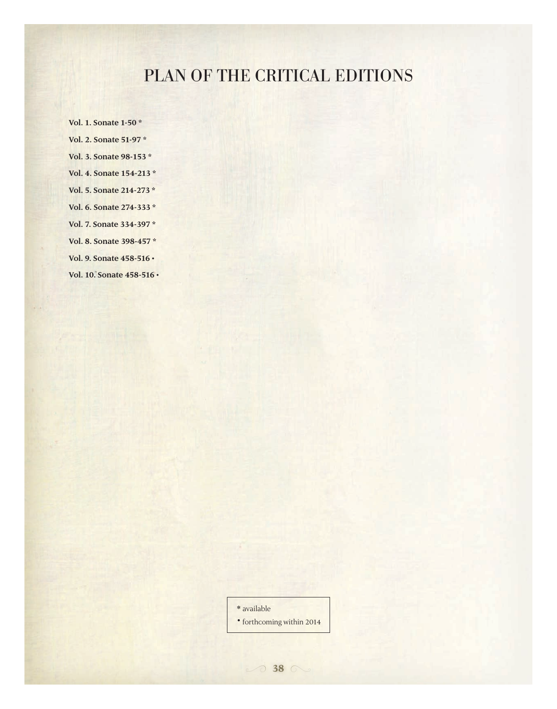# PLAN OF THE CRITICAL EDITIONS

**Vol. 1. Sonate 1-50 \* Vol. 2. Sonate 51-97 \* Vol. 3. Sonate 98-153 \* Vol. 4. Sonate 154-213 \* Vol. 5. Sonate 214-273 \* Vol. 6. Sonate 274-333 \* Vol. 7. Sonate 334-397 \* Vol. 8. Sonate 398-457 \* Vol. 9. Sonate 458-516 • Vol. 10. Sonate 458-516 •**

available

forthcoming within 2014